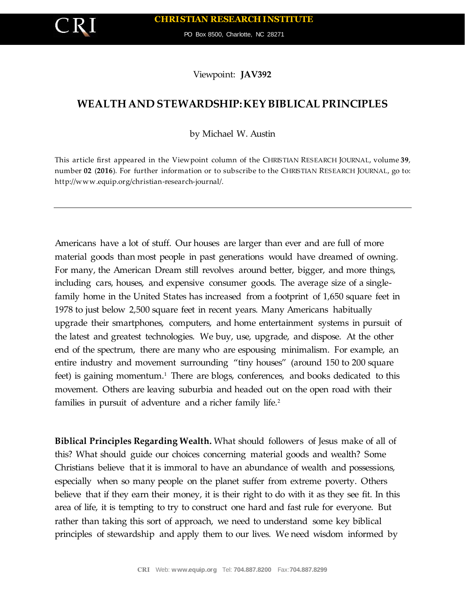PO Box 8500, Charlotte, NC 28271

Viewpoint: **JAV392**

## **WEALTH AND STEWARDSHIP: KEY BIBLICAL PRINCIPLES**

by Michael W. Austin

This article first appeared in the Viewpoint column of the CHRISTIAN RESEARCH JOURNAL, volume **39**, number **02** (**2016**). For further information or to subscribe to the CHRISTIAN RESEARCH JOURNAL, go to: http://www.equip.org/christian-research-journal/.

Americans have a lot of stuff. Our houses are larger than ever and are full of more material goods than most people in past generations would have dreamed of owning. For many, the American Dream still revolves around better, bigger, and more things, including cars, houses, and expensive consumer goods. The average size of a singlefamily home in the United States has increased from a footprint of 1,650 square feet in 1978 to just below 2,500 square feet in recent years. Many Americans habitually upgrade their smartphones, computers, and home entertainment systems in pursuit of the latest and greatest technologies. We buy, use, upgrade, and dispose. At the other end of the spectrum, there are many who are espousing minimalism. For example, an entire industry and movement surrounding "tiny houses" (around 150 to 200 square feet) is gaining momentum.<sup>1</sup> There are blogs, conferences, and books dedicated to this movement. Others are leaving suburbia and headed out on the open road with their families in pursuit of adventure and a richer family life.<sup>2</sup>

**Biblical Principles Regarding Wealth.** What should followers of Jesus make of all of this? What should guide our choices concerning material goods and wealth? Some Christians believe that it is immoral to have an abundance of wealth and possessions, especially when so many people on the planet suffer from extreme poverty. Others believe that if they earn their money, it is their right to do with it as they see fit. In this area of life, it is tempting to try to construct one hard and fast rule for everyone. But rather than taking this sort of approach, we need to understand some key biblical principles of stewardship and apply them to our lives. We need wisdom informed by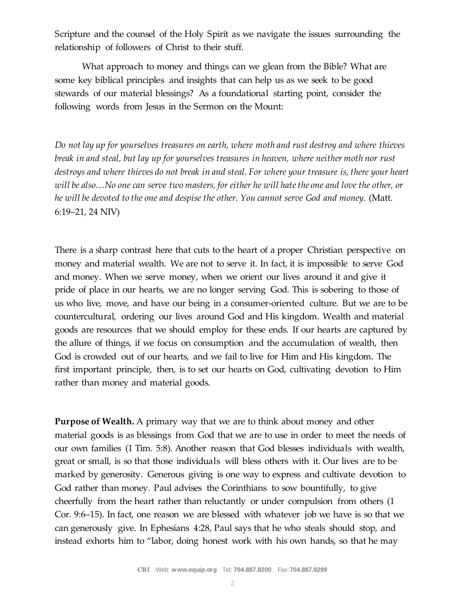Scripture and the counsel of the Holy Spirit as we navigate the issues surrounding the relationship of followers of Christ to their stuff.

What approach to money and things can we glean from the Bible? What are some key biblical principles and insights that can help us as we seek to be good stewards of our material blessings? As a foundational starting point, consider the following words from Jesus in the Sermon on the Mount:

*Do not lay up for yourselves treasures on earth, where moth and rust destroy and where thieves break in and steal, but lay up for yourselves treasures in heaven, where neither moth nor rust destroys and where thieves do not break in and steal. For where your treasure is, there your heart will be also…No one can serve two masters, for either he will hate the one and love the other, or he will be devoted to the one and despise the other. You cannot serve God and money.* (Matt. 6:19–21, 24 NIV)

There is a sharp contrast here that cuts to the heart of a proper Christian perspective on money and material wealth. We are not to serve it. In fact, it is impossible to serve God and money. When we serve money, when we orient our lives around it and give it pride of place in our hearts, we are no longer serving God. This is sobering to those of us who live, move, and have our being in a consumer-oriented culture. But we are to be countercultural, ordering our lives around God and His kingdom. Wealth and material goods are resources that we should employ for these ends. If our hearts are captured by the allure of things, if we focus on consumption and the accumulation of wealth, then God is crowded out of our hearts, and we fail to live for Him and His kingdom. The first important principle, then, is to set our hearts on God, cultivating devotion to Him rather than money and material goods.

**Purpose of Wealth.** A primary way that we are to think about money and other material goods is as blessings from God that we are to use in order to meet the needs of our own families (1 Tim. 5:8). Another reason that God blesses individuals with wealth, great or small, is so that those individuals will bless others with it. Our lives are to be marked by generosity. Generous giving is one way to express and cultivate devotion to God rather than money. Paul advises the Corinthians to sow bountifully, to give cheerfully from the heart rather than reluctantly or under compulsion from others (1 Cor. 9:6–15). In fact, one reason we are blessed with whatever job we have is so that we can generously give. In Ephesians 4:28, Paul says that he who steals should stop, and instead exhorts him to "labor, doing honest work with his own hands, so that he may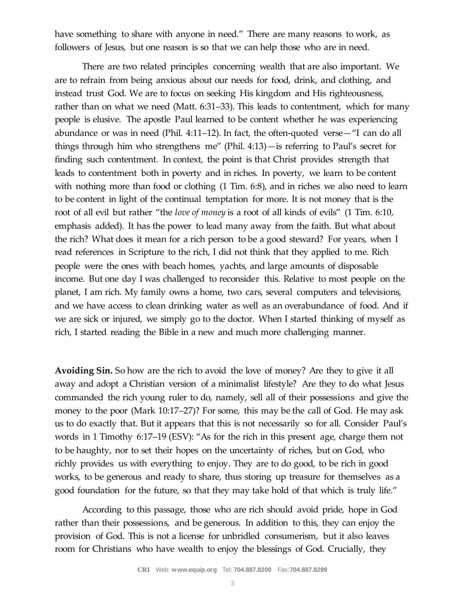have something to share with anyone in need." There are many reasons to work, as followers of Jesus, but one reason is so that we can help those who are in need.

There are two related principles concerning wealth that are also important. We are to refrain from being anxious about our needs for food, drink, and clothing, and instead trust God. We are to focus on seeking His kingdom and His righteousness, rather than on what we need (Matt. 6:31–33). This leads to contentment, which for many people is elusive. The apostle Paul learned to be content whether he was experiencing abundance or was in need (Phil. 4:11–12). In fact, the often-quoted verse—"I can do all things through him who strengthens me" (Phil. 4:13)—is referring to Paul's secret for finding such contentment. In context, the point is that Christ provides strength that leads to contentment both in poverty and in riches. In poverty, we learn to be content with nothing more than food or clothing (1 Tim. 6:8), and in riches we also need to learn to be content in light of the continual temptation for more. It is not money that is the root of all evil but rather "the *love of money* is a root of all kinds of evils" (1 Tim. 6:10, emphasis added). It has the power to lead many away from the faith. But what about the rich? What does it mean for a rich person to be a good steward? For years, when I read references in Scripture to the rich, I did not think that they applied to me. Rich people were the ones with beach homes, yachts, and large amounts of disposable income. But one day I was challenged to reconsider this. Relative to most people on the planet, I am rich. My family owns a home, two cars, several computers and televisions, and we have access to clean drinking water as well as an overabundance of food. And if we are sick or injured, we simply go to the doctor. When I started thinking of myself as rich, I started reading the Bible in a new and much more challenging manner.

**Avoiding Sin.** So how are the rich to avoid the love of money? Are they to give it all away and adopt a Christian version of a minimalist lifestyle? Are they to do what Jesus commanded the rich young ruler to do, namely, sell all of their possessions and give the money to the poor (Mark 10:17–27)? For some, this may be the call of God. He may ask us to do exactly that. But it appears that this is not necessarily so for all. Consider Paul's words in 1 Timothy 6:17–19 (ESV): "As for the rich in this present age, charge them not to be haughty, nor to set their hopes on the uncertainty of riches, but on God, who richly provides us with everything to enjoy. They are to do good, to be rich in good works, to be generous and ready to share, thus storing up treasure for themselves as a good foundation for the future, so that they may take hold of that which is truly life."

According to this passage, those who are rich should avoid pride, hope in God rather than their possessions, and be generous. In addition to this, they can enjoy the provision of God. This is not a license for unbridled consumerism, but it also leaves room for Christians who have wealth to enjoy the blessings of God. Crucially, they